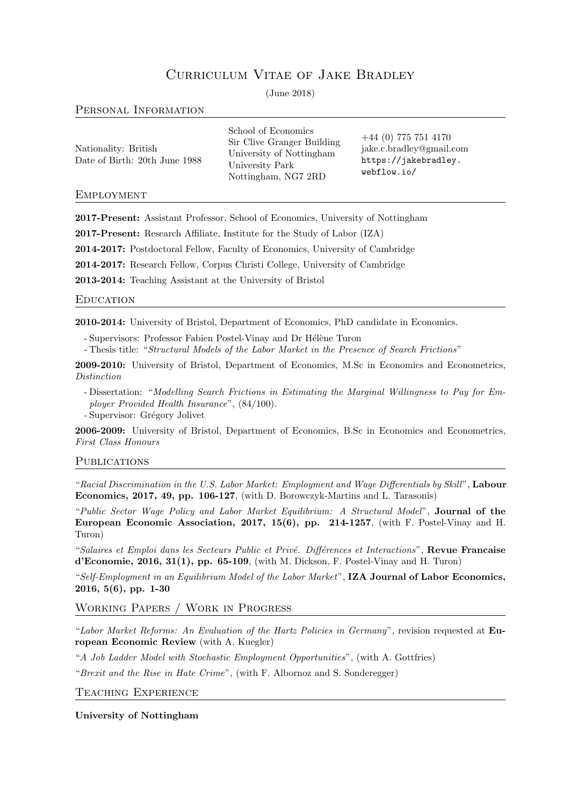# Curriculum Vitae of Jake Bradley

(June 2018)

# Personal Information

| Nationality: British          |  |  |
|-------------------------------|--|--|
| Date of Birth: 20th June 1988 |  |  |

School of Economics Sir Clive Granger Building University of Nottingham University Park Nottingham, NG7 2RD

+44 (0) 775 751 4170 [jake.c.bradley@gmail.com](mailto:jake.c.bradley@gmail.com) [https://jakebradley.](https://jakebradley.webflow.io/) [webflow.io/](https://jakebradley.webflow.io/)

# **EMPLOYMENT**

2017-Present: Assistant Professor, School of Economics, University of Nottingham

2017-Present: Research Affiliate, Institute for the Study of Labor (IZA)

2014-2017: Postdoctoral Fellow, Faculty of Economics, University of Cambridge

2014-2017: Research Fellow, Corpus Christi College, University of Cambridge

2013-2014: Teaching Assistant at the University of Bristol

# **EDUCATION**

2010-2014: University of Bristol, Department of Economics, PhD candidate in Economics.

- Supervisors: Professor Fabien Postel-Vinay and Dr Hélène Turon
- Thesis title: "Structural Models of the Labor Market in the Presence of Search Frictions"

2009-2010: University of Bristol, Department of Economics, M.Sc in Economics and Econometrics, Distinction

- Dissertation: "Modelling Search Frictions in Estimating the Marginal Willingness to Pay for Employer Provided Health Insurance", (84/100).

- Supervisor: Grégory Jolivet

2006-2009: University of Bristol, Department of Economics, B.Sc in Economics and Econometrics, First Class Honours

# **PUBLICATIONS**

"Racial Discrimination in the U.S. Labor Market: Employment and Wage Differentials by Skill", Labour Economics, 2017, 49, pp. 106-127, (with D. Borowczyk-Martins and L. Tarasonis)

"Public Sector Wage Policy and Labor Market Equilibrium: A Structural Model", Journal of the European Economic Association, 2017, 15(6), pp. 214-1257, (with F. Postel-Vinay and H. Turon)

"Salaires et Emploi dans les Secteurs Public et Privé. Différences et Interactions", Revue Francaise d'Economie, 2016, 31(1), pp. 65-109, (with M. Dickson, F. Postel-Vinay and H. Turon)

"Self-Employment in an Equilibrium Model of the Labor Market", IZA Journal of Labor Economics, 2016, 5(6), pp. 1-30

# Working Papers / Work in Progress

"Labor Market Reforms: An Evaluation of the Hartz Policies in Germany", revision requested at European Economic Review (with A. Kuegler)

"A Job Ladder Model with Stochastic Employment Opportunities", (with A. Gottfries)

"Brexit and the Rise in Hate Crime", (with F. Albornoz and S. Sonderegger)

Teaching Experience

University of Nottingham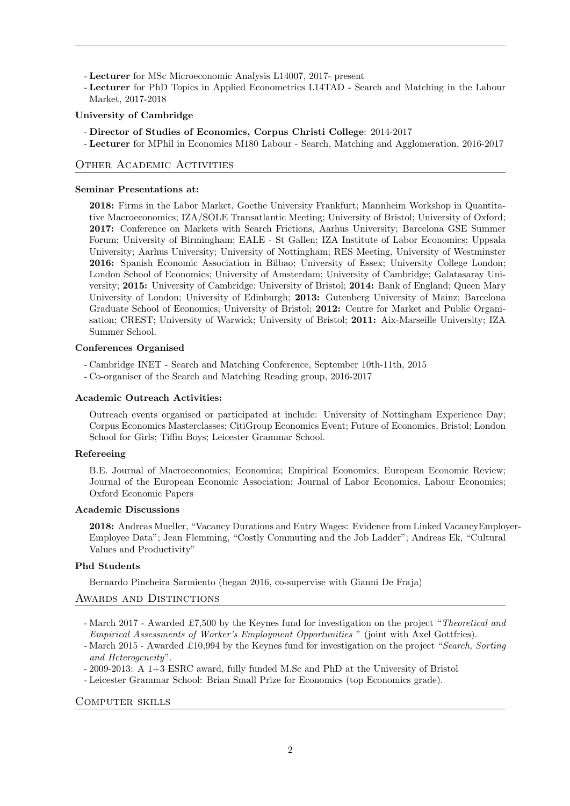- Lecturer for MSc Microeconomic Analysis L14007, 2017- present

- Lecturer for PhD Topics in Applied Econometrics L14TAD - Search and Matching in the Labour Market, 2017-2018

### University of Cambridge

- Director of Studies of Economics, Corpus Christi College: 2014-2017
- Lecturer for MPhil in Economics M180 Labour Search, Matching and Agglomeration, 2016-2017

# Other Academic Activities

#### Seminar Presentations at:

2018: Firms in the Labor Market, Goethe University Frankfurt; Mannheim Workshop in Quantitative Macroeconomics; IZA/SOLE Transatlantic Meeting; University of Bristol; University of Oxford; 2017: Conference on Markets with Search Frictions, Aarhus University; Barcelona GSE Summer Forum; University of Birmingham; EALE - St Gallen; IZA Institute of Labor Economics; Uppsala University; Aarhus University; University of Nottingham; RES Meeting, University of Westminster 2016: Spanish Economic Association in Bilbao; University of Essex; University College London; London School of Economics; University of Amsterdam; University of Cambridge; Galatasaray University; 2015: University of Cambridge; University of Bristol; 2014: Bank of England; Queen Mary University of London; University of Edinburgh; 2013: Gutenberg University of Mainz; Barcelona Graduate School of Economics; University of Bristol; 2012: Centre for Market and Public Organisation; CREST; University of Warwick; University of Bristol; 2011: Aix-Marseille University; IZA Summer School.

#### Conferences Organised

- Cambridge INET Search and Matching Conference, September 10th-11th, 2015
- Co-organiser of the Search and Matching Reading group, 2016-2017

#### Academic Outreach Activities:

Outreach events organised or participated at include: University of Nottingham Experience Day; Corpus Economics Masterclasses; CitiGroup Economics Event; Future of Economics, Bristol; London School for Girls; Tiffin Boys; Leicester Grammar School.

### Refereeing

B.E. Journal of Macroeconomics; Economica; Empirical Economics; European Economic Review; Journal of the European Economic Association; Journal of Labor Economics, Labour Economics; Oxford Economic Papers

### Academic Discussions

2018: Andreas Mueller, "Vacancy Durations and Entry Wages: Evidence from Linked VacancyEmployer-Employee Data"; Jean Flemming, "Costly Commuting and the Job Ladder"; Andreas Ek, "Cultural Values and Productivity"

### Phd Students

Bernardo Pincheira Sarmiento (began 2016, co-supervise with Gianni De Fraja)

### AWARDS AND DISTINCTIONS

- March 2017 Awarded £7,500 by the Keynes fund for investigation on the project "Theoretical and Empirical Assessments of Worker's Employment Opportunities " (joint with Axel Gottfries).
- March 2015 Awarded £10,994 by the Keynes fund for investigation on the project "Search, Sorting and Heterogeneity".
- 2009-2013: A 1+3 ESRC award, fully funded M.Sc and PhD at the University of Bristol
- Leicester Grammar School: Brian Small Prize for Economics (top Economics grade).

#### Computer skills